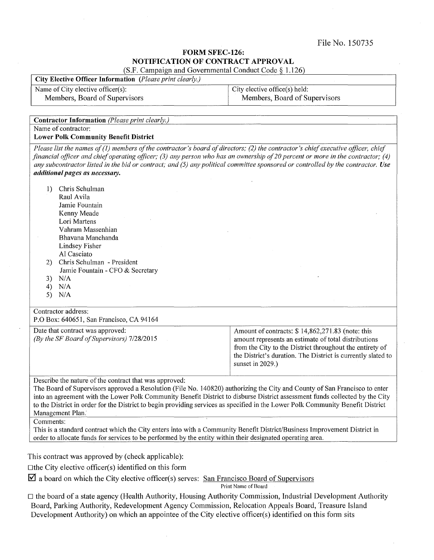File No. 150735

## FORM SFEC-126: NOTIFICATION OF CONTRACT APPROVAL (S.F. Campaign and Governmental Conduct Code§ 1.126)

City Elective Officer Information *(Please print clearly.)* 

Name of City elective officer(s):

Members, Board of Supervisors

City elective office(s) held: Members, Board of Supervisors

| <b>Contractor Information</b> (Please print clearly.)                                                                                                                                                                                                                                                                                                                                                                                                                                                                                                                                                                                                                                                                               |                                                                                                                                                                                                                                                          |  |
|-------------------------------------------------------------------------------------------------------------------------------------------------------------------------------------------------------------------------------------------------------------------------------------------------------------------------------------------------------------------------------------------------------------------------------------------------------------------------------------------------------------------------------------------------------------------------------------------------------------------------------------------------------------------------------------------------------------------------------------|----------------------------------------------------------------------------------------------------------------------------------------------------------------------------------------------------------------------------------------------------------|--|
| Name of contractor:                                                                                                                                                                                                                                                                                                                                                                                                                                                                                                                                                                                                                                                                                                                 |                                                                                                                                                                                                                                                          |  |
| <b>Lower Polk Community Benefit District</b>                                                                                                                                                                                                                                                                                                                                                                                                                                                                                                                                                                                                                                                                                        |                                                                                                                                                                                                                                                          |  |
| Please list the names of (1) members of the contractor's board of directors; (2) the contractor's chief executive officer, chief<br>financial officer and chief operating officer; (3) any person who has an ownership of 20 percent or more in the contractor; (4)<br>any subcontractor listed in the bid or contract; and (5) any political committee sponsored or controlled by the contractor. Use<br>additional pages as necessary.                                                                                                                                                                                                                                                                                            |                                                                                                                                                                                                                                                          |  |
| Chris Schulman<br>$_{1}$<br>Raul Avila<br>Jamie Fountain<br>Kenny Meade<br>Lori Martens<br>Vahram Massenhian<br>Bhavana Manchanda<br>Lindsey Fisher<br>Al Casciato<br>Chris Schulman - President<br>2)<br>Jamie Fountain - CFO & Secretary<br>N/A<br>3)<br>N/A<br>4)<br>5)<br>N/A                                                                                                                                                                                                                                                                                                                                                                                                                                                   |                                                                                                                                                                                                                                                          |  |
| Contractor address:<br>P.O Box: 640651, San Francisco, CA 94164                                                                                                                                                                                                                                                                                                                                                                                                                                                                                                                                                                                                                                                                     |                                                                                                                                                                                                                                                          |  |
| Date that contract was approved:<br>(By the SF Board of Supervisors) 7/28/2015                                                                                                                                                                                                                                                                                                                                                                                                                                                                                                                                                                                                                                                      | Amount of contracts: \$14,862,271.83 (note: this<br>amount represents an estimate of total distributions<br>from the City to the District throughout the entirety of<br>the District's duration. The District is currently slated to<br>sunset in 2029.) |  |
| Describe the nature of the contract that was approved:<br>The Board of Supervisors approved a Resolution (File No. 140820) authorizing the City and County of San Francisco to enter<br>into an agreement with the Lower Polk Community Benefit District to disburse District assessment funds collected by the City<br>to the District in order for the District to begin providing services as specified in the Lower Polk Community Benefit District<br>Management Plan.<br>Comments:<br>This is a standard contract which the City enters into with a Community Benefit District/Business Improvement District in<br>order to allocate funds for services to be performed by the entity within their designated operating area. |                                                                                                                                                                                                                                                          |  |
|                                                                                                                                                                                                                                                                                                                                                                                                                                                                                                                                                                                                                                                                                                                                     |                                                                                                                                                                                                                                                          |  |
| This contract was approved by (check applicable):                                                                                                                                                                                                                                                                                                                                                                                                                                                                                                                                                                                                                                                                                   |                                                                                                                                                                                                                                                          |  |
| $\Box$ the City elective officer(s) identified on this form                                                                                                                                                                                                                                                                                                                                                                                                                                                                                                                                                                                                                                                                         |                                                                                                                                                                                                                                                          |  |
| $\overline{\mathbf{Z}}$ a board on which the City elective officer(s) serves: San Francisco Board of Supervisors                                                                                                                                                                                                                                                                                                                                                                                                                                                                                                                                                                                                                    |                                                                                                                                                                                                                                                          |  |
| Print Name of Board                                                                                                                                                                                                                                                                                                                                                                                                                                                                                                                                                                                                                                                                                                                 |                                                                                                                                                                                                                                                          |  |

 $\Box$  the board of a state agency (Health Authority, Housing Authority Commission, Industrial Development Authority Board, Parking Authority, Redevelopment Agency Commission, Relocation Appeals Board, Treasure Island Development Authority) on which an appointee of the City elective officer(s) identified on this form sits